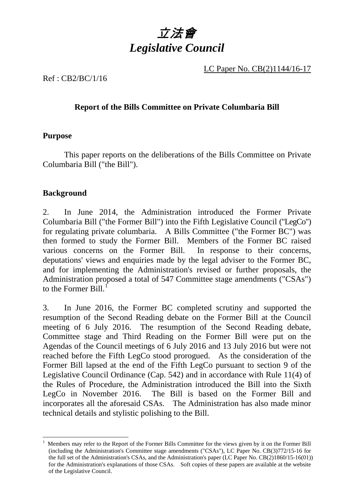

LC Paper No. CB(2)1144/16-17

Ref : CB2/BC/1/16

### **Report of the Bills Committee on Private Columbaria Bill**

#### **Purpose**

 This paper reports on the deliberations of the Bills Committee on Private Columbaria Bill ("the Bill").

### **Background**

-

2. In June 2014, the Administration introduced the Former Private Columbaria Bill ("the Former Bill") into the Fifth Legislative Council ("LegCo") for regulating private columbaria. A Bills Committee ("the Former BC") was then formed to study the Former Bill. Members of the Former BC raised various concerns on the Former Bill. In response to their concerns, deputations' views and enquiries made by the legal adviser to the Former BC, and for implementing the Administration's revised or further proposals, the Administration proposed a total of 547 Committee stage amendments ("CSAs") to the Former  $\text{Bill.}^{\text{I}}$ 

3. In June 2016, the Former BC completed scrutiny and supported the resumption of the Second Reading debate on the Former Bill at the Council meeting of 6 July 2016. The resumption of the Second Reading debate, Committee stage and Third Reading on the Former Bill were put on the Agendas of the Council meetings of 6 July 2016 and 13 July 2016 but were not reached before the Fifth LegCo stood prorogued. As the consideration of the Former Bill lapsed at the end of the Fifth LegCo pursuant to section 9 of the Legislative Council Ordinance (Cap. 542) and in accordance with Rule 11(4) of the Rules of Procedure, the Administration introduced the Bill into the Sixth LegCo in November 2016. The Bill is based on the Former Bill and incorporates all the aforesaid CSAs. The Administration has also made minor technical details and stylistic polishing to the Bill.

<span id="page-0-0"></span><sup>1</sup> Members may refer to the Report of the Former Bills Committee for the views given by it on the Former Bill (including the Administration's Committee stage amendments ("CSAs"), LC Paper No. CB(3)772/15-16 for the full set of the Administration's CSAs, and the Administration's paper (LC Paper No. CB(2)1860/15-16(01)) for the Administration's explanations of those CSAs. Soft copies of these papers are available at the website of the Legislative Council.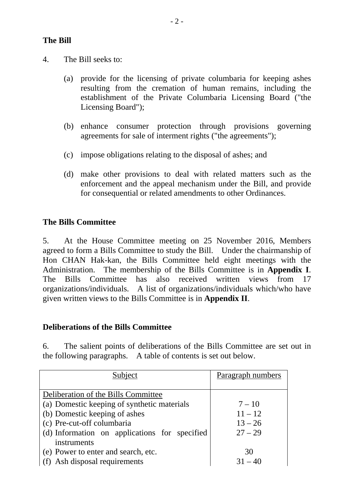#### **The Bill**

- 4. The Bill seeks to:
	- (a) provide for the licensing of private columbaria for keeping ashes resulting from the cremation of human remains, including the establishment of the Private Columbaria Licensing Board ("the Licensing Board");
	- (b) enhance consumer protection through provisions governing agreements for sale of interment rights ("the agreements");
	- (c) impose obligations relating to the disposal of ashes; and
	- (d) make other provisions to deal with related matters such as the enforcement and the appeal mechanism under the Bill, and provide for consequential or related amendments to other Ordinances.

#### **The Bills Committee**

5. At the House Committee meeting on 25 November 2016, Members agreed to form a Bills Committee to study the Bill. Under the chairmanship of Hon CHAN Hak-kan, the Bills Committee held eight meetings with the Administration. The membership of the Bills Committee is in **Appendix I**. The Bills Committee has also received written views from 17 organizations/individuals. A list of organizations/individuals which/who have given written views to the Bills Committee is in **Appendix II**.

#### **Deliberations of the Bills Committee**

6. The salient points of deliberations of the Bills Committee are set out in the following paragraphs. A table of contents is set out below.

| Subject                                       | Paragraph numbers |
|-----------------------------------------------|-------------------|
|                                               |                   |
| Deliberation of the Bills Committee           |                   |
| (a) Domestic keeping of synthetic materials   | $7 - 10$          |
| (b) Domestic keeping of ashes                 | $11 - 12$         |
| (c) Pre-cut-off columbaria                    | $13 - 26$         |
| (d) Information on applications for specified | $27 - 29$         |
| instruments                                   |                   |
| (e) Power to enter and search, etc.           | 30                |
| (f) Ash disposal requirements                 | $31 - 40$         |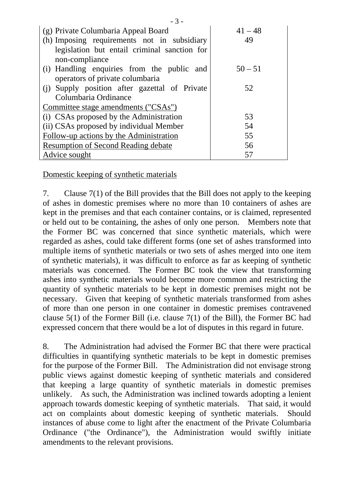| $-3-$                                         |           |
|-----------------------------------------------|-----------|
| (g) Private Columbaria Appeal Board           | $41 - 48$ |
| (h) Imposing requirements not in subsidiary   | 49        |
| legislation but entail criminal sanction for  |           |
| non-compliance                                |           |
| (i) Handling enquiries from the public and    | $50 - 51$ |
| operators of private columbaria               |           |
| (i) Supply position after gazettal of Private | 52        |
| Columbaria Ordinance                          |           |
| Committee stage amendments ("CSAs")           |           |
| (i) CSAs proposed by the Administration       | 53        |
| (ii) CSAs proposed by individual Member       | 54        |
| Follow-up actions by the Administration       | 55        |
| <b>Resumption of Second Reading debate</b>    | 56        |
| Advice sought                                 | 57        |

Domestic keeping of synthetic materials

7. Clause 7(1) of the Bill provides that the Bill does not apply to the keeping of ashes in domestic premises where no more than 10 containers of ashes are kept in the premises and that each container contains, or is claimed, represented or held out to be containing, the ashes of only one person. Members note that the Former BC was concerned that since synthetic materials, which were regarded as ashes, could take different forms (one set of ashes transformed into multiple items of synthetic materials or two sets of ashes merged into one item of synthetic materials), it was difficult to enforce as far as keeping of synthetic materials was concerned. The Former BC took the view that transforming ashes into synthetic materials would become more common and restricting the quantity of synthetic materials to be kept in domestic premises might not be necessary. Given that keeping of synthetic materials transformed from ashes of more than one person in one container in domestic premises contravened clause 5(1) of the Former Bill (i.e. clause 7(1) of the Bill), the Former BC had expressed concern that there would be a lot of disputes in this regard in future.

8. The Administration had advised the Former BC that there were practical difficulties in quantifying synthetic materials to be kept in domestic premises for the purpose of the Former Bill. The Administration did not envisage strong public views against domestic keeping of synthetic materials and considered that keeping a large quantity of synthetic materials in domestic premises unlikely. As such, the Administration was inclined towards adopting a lenient approach towards domestic keeping of synthetic materials. That said, it would act on complaints about domestic keeping of synthetic materials. Should instances of abuse come to light after the enactment of the Private Columbaria Ordinance ("the Ordinance"), the Administration would swiftly initiate amendments to the relevant provisions.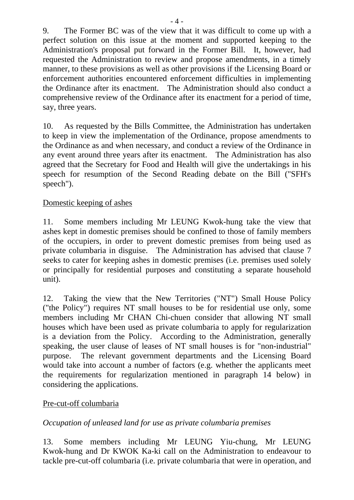9. The Former BC was of the view that it was difficult to come up with a perfect solution on this issue at the moment and supported keeping to the Administration's proposal put forward in the Former Bill. It, however, had requested the Administration to review and propose amendments, in a timely manner, to these provisions as well as other provisions if the Licensing Board or enforcement authorities encountered enforcement difficulties in implementing the Ordinance after its enactment. The Administration should also conduct a comprehensive review of the Ordinance after its enactment for a period of time, say, three years.

10. As requested by the Bills Committee, the Administration has undertaken to keep in view the implementation of the Ordinance, propose amendments to the Ordinance as and when necessary, and conduct a review of the Ordinance in any event around three years after its enactment. The Administration has also agreed that the Secretary for Food and Health will give the undertakings in his speech for resumption of the Second Reading debate on the Bill ("SFH's speech").

### Domestic keeping of ashes

11. Some members including Mr LEUNG Kwok-hung take the view that ashes kept in domestic premises should be confined to those of family members of the occupiers, in order to prevent domestic premises from being used as private columbaria in disguise. The Administration has advised that clause 7 seeks to cater for keeping ashes in domestic premises (i.e. premises used solely or principally for residential purposes and constituting a separate household unit).

12. Taking the view that the New Territories ("NT") Small House Policy ("the Policy") requires NT small houses to be for residential use only, some members including Mr CHAN Chi-chuen consider that allowing NT small houses which have been used as private columbaria to apply for regularization is a deviation from the Policy. According to the Administration, generally speaking, the user clause of leases of NT small houses is for "non-industrial" purpose. The relevant government departments and the Licensing Board would take into account a number of factors (e.g. whether the applicants meet the requirements for regularization mentioned in paragraph 14 below) in considering the applications.

### Pre-cut-off columbaria

### *Occupation of unleased land for use as private columbaria premises*

13. Some members including Mr LEUNG Yiu-chung, Mr LEUNG Kwok-hung and Dr KWOK Ka-ki call on the Administration to endeavour to tackle pre-cut-off columbaria (i.e. private columbaria that were in operation, and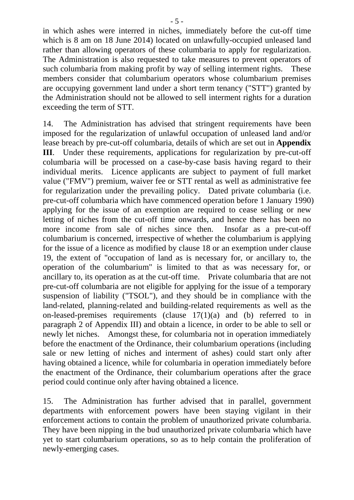in which ashes were interred in niches, immediately before the cut-off time which is 8 am on 18 June 2014) located on unlawfully-occupied unleased land rather than allowing operators of these columbaria to apply for regularization. The Administration is also requested to take measures to prevent operators of such columbaria from making profit by way of selling interment rights. These members consider that columbarium operators whose columbarium premises are occupying government land under a short term tenancy ("STT") granted by the Administration should not be allowed to sell interment rights for a duration exceeding the term of STT.

14. The Administration has advised that stringent requirements have been imposed for the regularization of unlawful occupation of unleased land and/or lease breach by pre-cut-off columbaria, details of which are set out in **Appendix III**. Under these requirements, applications for regularization by pre-cut-off columbaria will be processed on a case-by-case basis having regard to their individual merits. Licence applicants are subject to payment of full market value ("FMV") premium, waiver fee or STT rental as well as administrative fee for regularization under the prevailing policy. Dated private columbaria (i.e. pre-cut-off columbaria which have commenced operation before 1 January 1990) applying for the issue of an exemption are required to cease selling or new letting of niches from the cut-off time onwards, and hence there has been no more income from sale of niches since then. Insofar as a pre-cut-off columbarium is concerned, irrespective of whether the columbarium is applying for the issue of a licence as modified by clause 18 or an exemption under clause 19, the extent of "occupation of land as is necessary for, or ancillary to, the operation of the columbarium" is limited to that as was necessary for, or ancillary to, its operation as at the cut-off time. Private columbaria that are not pre-cut-off columbaria are not eligible for applying for the issue of a temporary suspension of liability ("TSOL"), and they should be in compliance with the land-related, planning-related and building-related requirements as well as the on-leased-premises requirements (clause 17(1)(a) and (b) referred to in paragraph 2 of Appendix III) and obtain a licence, in order to be able to sell or newly let niches. Amongst these, for columbaria not in operation immediately before the enactment of the Ordinance, their columbarium operations (including sale or new letting of niches and interment of ashes) could start only after having obtained a licence, while for columbaria in operation immediately before the enactment of the Ordinance, their columbarium operations after the grace period could continue only after having obtained a licence.

15. The Administration has further advised that in parallel, government departments with enforcement powers have been staying vigilant in their enforcement actions to contain the problem of unauthorized private columbaria. They have been nipping in the bud unauthorized private columbaria which have yet to start columbarium operations, so as to help contain the proliferation of newly-emerging cases.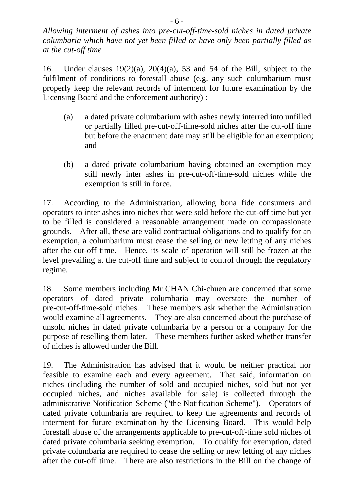*Allowing interment of ashes into pre-cut-off-time-sold niches in dated private columbaria which have not yet been filled or have only been partially filled as at the cut-off time* 

16. Under clauses 19(2)(a), 20(4)(a), 53 and 54 of the Bill, subject to the fulfilment of conditions to forestall abuse (e.g. any such columbarium must properly keep the relevant records of interment for future examination by the Licensing Board and the enforcement authority) :

- (a) a dated private columbarium with ashes newly interred into unfilled or partially filled pre-cut-off-time-sold niches after the cut-off time but before the enactment date may still be eligible for an exemption; and
- (b) a dated private columbarium having obtained an exemption may still newly inter ashes in pre-cut-off-time-sold niches while the exemption is still in force.

17. According to the Administration, allowing bona fide consumers and operators to inter ashes into niches that were sold before the cut-off time but yet to be filled is considered a reasonable arrangement made on compassionate grounds. After all, these are valid contractual obligations and to qualify for an exemption, a columbarium must cease the selling or new letting of any niches after the cut-off time. Hence, its scale of operation will still be frozen at the level prevailing at the cut-off time and subject to control through the regulatory regime.

18. Some members including Mr CHAN Chi-chuen are concerned that some operators of dated private columbaria may overstate the number of pre-cut-off-time-sold niches. These members ask whether the Administration would examine all agreements. They are also concerned about the purchase of unsold niches in dated private columbaria by a person or a company for the purpose of reselling them later. These members further asked whether transfer of niches is allowed under the Bill.

19. The Administration has advised that it would be neither practical nor feasible to examine each and every agreement. That said, information on niches (including the number of sold and occupied niches, sold but not yet occupied niches, and niches available for sale) is collected through the administrative Notification Scheme ("the Notification Scheme"). Operators of dated private columbaria are required to keep the agreements and records of interment for future examination by the Licensing Board. This would help forestall abuse of the arrangements applicable to pre-cut-off-time sold niches of dated private columbaria seeking exemption. To qualify for exemption, dated private columbaria are required to cease the selling or new letting of any niches after the cut-off time. There are also restrictions in the Bill on the change of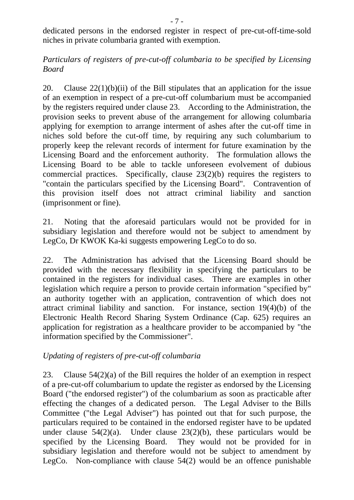dedicated persons in the endorsed register in respect of pre-cut-off-time-sold niches in private columbaria granted with exemption.

### *Particulars of registers of pre-cut-off columbaria to be specified by Licensing Board*

20. Clause  $22(1)(b)(ii)$  of the Bill stipulates that an application for the issue of an exemption in respect of a pre-cut-off columbarium must be accompanied by the registers required under clause 23. According to the Administration, the provision seeks to prevent abuse of the arrangement for allowing columbaria applying for exemption to arrange interment of ashes after the cut-off time in niches sold before the cut-off time, by requiring any such columbarium to properly keep the relevant records of interment for future examination by the Licensing Board and the enforcement authority. The formulation allows the Licensing Board to be able to tackle unforeseen evolvement of dubious commercial practices. Specifically, clause 23(2)(b) requires the registers to "contain the particulars specified by the Licensing Board". Contravention of this provision itself does not attract criminal liability and sanction (imprisonment or fine).

21. Noting that the aforesaid particulars would not be provided for in subsidiary legislation and therefore would not be subject to amendment by LegCo, Dr KWOK Ka-ki suggests empowering LegCo to do so.

22. The Administration has advised that the Licensing Board should be provided with the necessary flexibility in specifying the particulars to be contained in the registers for individual cases. There are examples in other legislation which require a person to provide certain information "specified by" an authority together with an application, contravention of which does not attract criminal liability and sanction. For instance, section 19(4)(b) of the Electronic Health Record Sharing System Ordinance (Cap. 625) requires an application for registration as a healthcare provider to be accompanied by "the information specified by the Commissioner".

# *Updating of registers of pre-cut-off columbaria*

23. Clause 54(2)(a) of the Bill requires the holder of an exemption in respect of a pre-cut-off columbarium to update the register as endorsed by the Licensing Board ("the endorsed register") of the columbarium as soon as practicable after effecting the changes of a dedicated person. The Legal Adviser to the Bills Committee ("the Legal Adviser") has pointed out that for such purpose, the particulars required to be contained in the endorsed register have to be updated under clause  $54(2)(a)$ . Under clause  $23(2)(b)$ , these particulars would be specified by the Licensing Board. They would not be provided for in subsidiary legislation and therefore would not be subject to amendment by LegCo. Non-compliance with clause 54(2) would be an offence punishable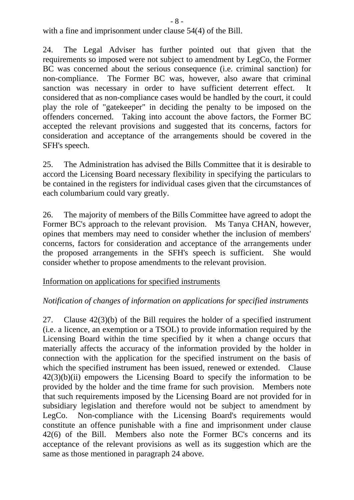with a fine and imprisonment under clause 54(4) of the Bill.

24. The Legal Adviser has further pointed out that given that the requirements so imposed were not subject to amendment by LegCo, the Former BC was concerned about the serious consequence (i.e. criminal sanction) for non-compliance. The Former BC was, however, also aware that criminal sanction was necessary in order to have sufficient deterrent effect. It considered that as non-compliance cases would be handled by the court, it could play the role of "gatekeeper" in deciding the penalty to be imposed on the offenders concerned. Taking into account the above factors, the Former BC accepted the relevant provisions and suggested that its concerns, factors for consideration and acceptance of the arrangements should be covered in the SFH's speech.

25. The Administration has advised the Bills Committee that it is desirable to accord the Licensing Board necessary flexibility in specifying the particulars to be contained in the registers for individual cases given that the circumstances of each columbarium could vary greatly.

26. The majority of members of the Bills Committee have agreed to adopt the Former BC's approach to the relevant provision. Ms Tanya CHAN, however, opines that members may need to consider whether the inclusion of members' concerns, factors for consideration and acceptance of the arrangements under the proposed arrangements in the SFH's speech is sufficient. She would consider whether to propose amendments to the relevant provision.

### Information on applications for specified instruments

### *Notification of changes of information on applications for specified instruments*

27. Clause 42(3)(b) of the Bill requires the holder of a specified instrument (i.e. a licence, an exemption or a TSOL) to provide information required by the Licensing Board within the time specified by it when a change occurs that materially affects the accuracy of the information provided by the holder in connection with the application for the specified instrument on the basis of which the specified instrument has been issued, renewed or extended. Clause  $42(3)(b)(ii)$  empowers the Licensing Board to specify the information to be provided by the holder and the time frame for such provision. Members note that such requirements imposed by the Licensing Board are not provided for in subsidiary legislation and therefore would not be subject to amendment by LegCo. Non-compliance with the Licensing Board's requirements would constitute an offence punishable with a fine and imprisonment under clause 42(6) of the Bill. Members also note the Former BC's concerns and its acceptance of the relevant provisions as well as its suggestion which are the same as those mentioned in paragraph 24 above.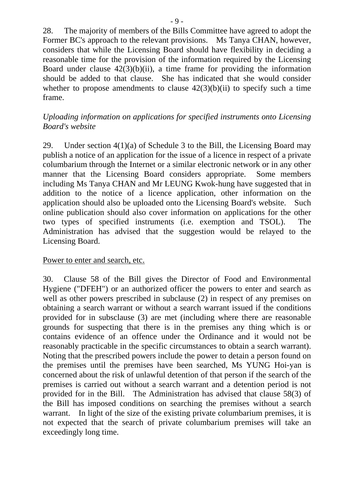28. The majority of members of the Bills Committee have agreed to adopt the Former BC's approach to the relevant provisions. Ms Tanya CHAN, however, considers that while the Licensing Board should have flexibility in deciding a reasonable time for the provision of the information required by the Licensing Board under clause  $42(3)(b)(ii)$ , a time frame for providing the information should be added to that clause. She has indicated that she would consider whether to propose amendments to clause  $42(3)(b)(ii)$  to specify such a time frame.

### *Uploading information on applications for specified instruments onto Licensing Board's website*

29. Under section 4(1)(a) of Schedule 3 to the Bill, the Licensing Board may publish a notice of an application for the issue of a licence in respect of a private columbarium through the Internet or a similar electronic network or in any other manner that the Licensing Board considers appropriate. Some members including Ms Tanya CHAN and Mr LEUNG Kwok-hung have suggested that in addition to the notice of a licence application, other information on the application should also be uploaded onto the Licensing Board's website. Such online publication should also cover information on applications for the other two types of specified instruments (i.e. exemption and TSOL). The Administration has advised that the suggestion would be relayed to the Licensing Board.

### Power to enter and search, etc.

30. Clause 58 of the Bill gives the Director of Food and Environmental Hygiene ("DFEH") or an authorized officer the powers to enter and search as well as other powers prescribed in subclause (2) in respect of any premises on obtaining a search warrant or without a search warrant issued if the conditions provided for in subsclause (3) are met (including where there are reasonable grounds for suspecting that there is in the premises any thing which is or contains evidence of an offence under the Ordinance and it would not be reasonably practicable in the specific circumstances to obtain a search warrant). Noting that the prescribed powers include the power to detain a person found on the premises until the premises have been searched, Ms YUNG Hoi-yan is concerned about the risk of unlawful detention of that person if the search of the premises is carried out without a search warrant and a detention period is not provided for in the Bill. The Administration has advised that clause 58(3) of the Bill has imposed conditions on searching the premises without a search warrant. In light of the size of the existing private columbarium premises, it is not expected that the search of private columbarium premises will take an exceedingly long time.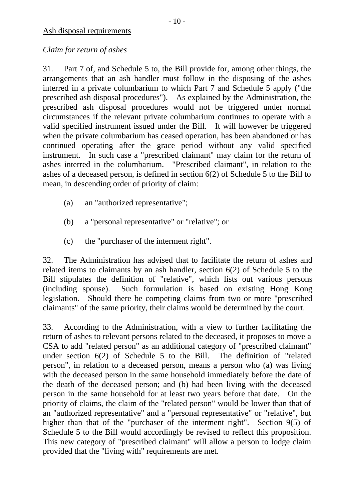# *Claim for return of ashes*

31. Part 7 of, and Schedule 5 to, the Bill provide for, among other things, the arrangements that an ash handler must follow in the disposing of the ashes interred in a private columbarium to which Part 7 and Schedule 5 apply ("the prescribed ash disposal procedures"). As explained by the Administration, the prescribed ash disposal procedures would not be triggered under normal circumstances if the relevant private columbarium continues to operate with a valid specified instrument issued under the Bill. It will however be triggered when the private columbarium has ceased operation, has been abandoned or has continued operating after the grace period without any valid specified instrument. In such case a "prescribed claimant" may claim for the return of ashes interred in the columbarium. "Prescribed claimant", in relation to the ashes of a deceased person, is defined in section 6(2) of Schedule 5 to the Bill to mean, in descending order of priority of claim:

- (a) an "authorized representative";
- (b) a "personal representative" or "relative"; or
- (c) the "purchaser of the interment right".

32. The Administration has advised that to facilitate the return of ashes and related items to claimants by an ash handler, section 6(2) of Schedule 5 to the Bill stipulates the definition of "relative", which lists out various persons (including spouse). Such formulation is based on existing Hong Kong legislation. Should there be competing claims from two or more "prescribed claimants" of the same priority, their claims would be determined by the court.

33. According to the Administration, with a view to further facilitating the return of ashes to relevant persons related to the deceased, it proposes to move a CSA to add "related person" as an additional category of "prescribed claimant" under section 6(2) of Schedule 5 to the Bill. The definition of "related person", in relation to a deceased person, means a person who (a) was living with the deceased person in the same household immediately before the date of the death of the deceased person; and (b) had been living with the deceased person in the same household for at least two years before that date. On the priority of claims, the claim of the "related person" would be lower than that of an "authorized representative" and a "personal representative" or "relative", but higher than that of the "purchaser of the interment right". Section 9(5) of Schedule 5 to the Bill would accordingly be revised to reflect this proposition. This new category of "prescribed claimant" will allow a person to lodge claim provided that the "living with" requirements are met.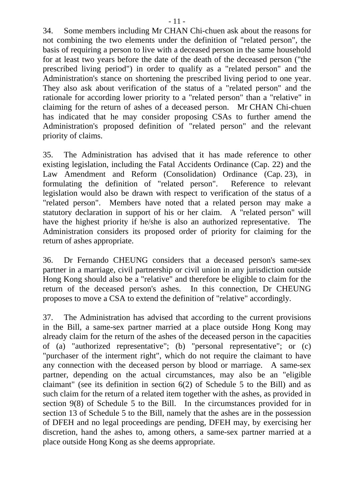34. Some members including Mr CHAN Chi-chuen ask about the reasons for not combining the two elements under the definition of "related person", the basis of requiring a person to live with a deceased person in the same household for at least two years before the date of the death of the deceased person ("the prescribed living period") in order to qualify as a "related person" and the Administration's stance on shortening the prescribed living period to one year. They also ask about verification of the status of a "related person" and the rationale for according lower priority to a "related person" than a "relative" in claiming for the return of ashes of a deceased person. Mr CHAN Chi-chuen has indicated that he may consider proposing CSAs to further amend the Administration's proposed definition of "related person" and the relevant priority of claims.

35. The Administration has advised that it has made reference to other existing legislation, including the Fatal Accidents Ordinance (Cap. 22) and the Law Amendment and Reform (Consolidation) Ordinance (Cap. 23), in formulating the definition of "related person". Reference to relevant legislation would also be drawn with respect to verification of the status of a "related person". Members have noted that a related person may make a statutory declaration in support of his or her claim. A "related person" will have the highest priority if he/she is also an authorized representative. The Administration considers its proposed order of priority for claiming for the return of ashes appropriate.

36. Dr Fernando CHEUNG considers that a deceased person's same-sex partner in a marriage, civil partnership or civil union in any jurisdiction outside Hong Kong should also be a "relative" and therefore be eligible to claim for the return of the deceased person's ashes. In this connection, Dr CHEUNG proposes to move a CSA to extend the definition of "relative" accordingly.

37. The Administration has advised that according to the current provisions in the Bill, a same-sex partner married at a place outside Hong Kong may already claim for the return of the ashes of the deceased person in the capacities of (a) "authorized representative"; (b) "personal representative"; or (c) "purchaser of the interment right", which do not require the claimant to have any connection with the deceased person by blood or marriage. A same-sex partner, depending on the actual circumstances, may also be an "eligible claimant" (see its definition in section 6(2) of Schedule 5 to the Bill) and as such claim for the return of a related item together with the ashes, as provided in section 9(8) of Schedule 5 to the Bill. In the circumstances provided for in section 13 of Schedule 5 to the Bill, namely that the ashes are in the possession of DFEH and no legal proceedings are pending, DFEH may, by exercising her discretion, hand the ashes to, among others, a same-sex partner married at a place outside Hong Kong as she deems appropriate.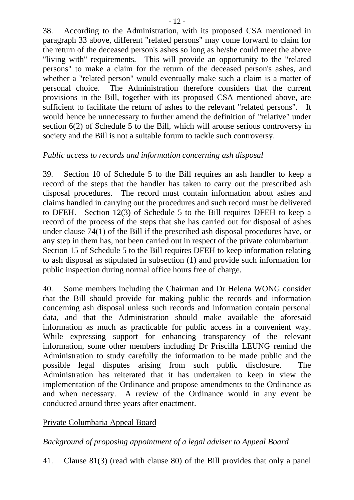38. According to the Administration, with its proposed CSA mentioned in paragraph 33 above, different "related persons" may come forward to claim for the return of the deceased person's ashes so long as he/she could meet the above "living with" requirements. This will provide an opportunity to the "related persons" to make a claim for the return of the deceased person's ashes, and whether a "related person" would eventually make such a claim is a matter of personal choice. The Administration therefore considers that the current provisions in the Bill, together with its proposed CSA mentioned above, are sufficient to facilitate the return of ashes to the relevant "related persons". It would hence be unnecessary to further amend the definition of "relative" under section 6(2) of Schedule 5 to the Bill, which will arouse serious controversy in society and the Bill is not a suitable forum to tackle such controversy.

# *Public access to records and information concerning ash disposal*

39. Section 10 of Schedule 5 to the Bill requires an ash handler to keep a record of the steps that the handler has taken to carry out the prescribed ash disposal procedures. The record must contain information about ashes and claims handled in carrying out the procedures and such record must be delivered to DFEH. Section 12(3) of Schedule 5 to the Bill requires DFEH to keep a record of the process of the steps that she has carried out for disposal of ashes under clause 74(1) of the Bill if the prescribed ash disposal procedures have, or any step in them has, not been carried out in respect of the private columbarium. Section 15 of Schedule 5 to the Bill requires DFEH to keep information relating to ash disposal as stipulated in subsection (1) and provide such information for public inspection during normal office hours free of charge.

40. Some members including the Chairman and Dr Helena WONG consider that the Bill should provide for making public the records and information concerning ash disposal unless such records and information contain personal data, and that the Administration should make available the aforesaid information as much as practicable for public access in a convenient way. While expressing support for enhancing transparency of the relevant information, some other members including Dr Priscilla LEUNG remind the Administration to study carefully the information to be made public and the possible legal disputes arising from such public disclosure. The Administration has reiterated that it has undertaken to keep in view the implementation of the Ordinance and propose amendments to the Ordinance as and when necessary. A review of the Ordinance would in any event be conducted around three years after enactment.

# Private Columbaria Appeal Board

# *Background of proposing appointment of a legal adviser to Appeal Board*

41. Clause 81(3) (read with clause 80) of the Bill provides that only a panel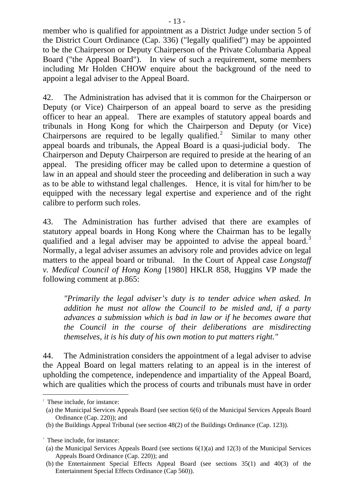member who is qualified for appointment as a District Judge under section 5 of the District Court Ordinance (Cap. 336) ("legally qualified") may be appointed to be the Chairperson or Deputy Chairperson of the Private Columbaria Appeal Board ("the Appeal Board"). In view of such a requirement, some members including Mr Holden CHOW enquire about the background of the need to appoint a legal adviser to the Appeal Board.

42. The Administration has advised that it is common for the Chairperson or Deputy (or Vice) Chairperson of an appeal board to serve as the presiding officer to hear an appeal. There are examples of statutory appeal boards and tribunals in Hong Kong for which the Chairperson and Deputy (or Vice) Chairpersons are required to be legally qualified.<sup>[2](#page-12-0)</sup> Similar to many other appeal boards and tribunals, the Appeal Board is a quasi-judicial body. The Chairperson and Deputy Chairperson are required to preside at the hearing of an appeal. The presiding officer may be called upon to determine a question of law in an appeal and should steer the proceeding and deliberation in such a way as to be able to withstand legal challenges. Hence, it is vital for him/her to be equipped with the necessary legal expertise and experience and of the right calibre to perform such roles.

43. The Administration has further advised that there are examples of statutory appeal boards in Hong Kong where the Chairman has to be legally qualified and a legal adviser may be appointed to advise the appeal board.<sup>[3](#page-12-1)</sup> Normally, a legal adviser assumes an advisory role and provides advice on legal matters to the appeal board or tribunal. In the Court of Appeal case *Longstaff v. Medical Council of Hong Kong* [1980] HKLR 858, Huggins VP made the following comment at p.865:

*"Primarily the legal adviser's duty is to tender advice when asked. In addition he must not allow the Council to be misled and, if a party advances a submission which is bad in law or if he becomes aware that the Council in the course of their deliberations are misdirecting themselves, it is his duty of his own motion to put matters right."* 

44. The Administration considers the appointment of a legal adviser to advise the Appeal Board on legal matters relating to an appeal is in the interest of upholding the competence, independence and impartiality of the Appeal Board, which are qualities which the process of courts and tribunals must have in order

1

<span id="page-12-0"></span><sup>&</sup>lt;sup>2</sup> These include, for instance:

<sup>(</sup>a) the Municipal Services Appeals Board (see section 6(6) of the Municipal Services Appeals Board Ordinance (Cap. 220)); and

<sup>(</sup>b) the Buildings Appeal Tribunal (see section 48(2) of the Buildings Ordinance (Cap. 123)).

<span id="page-12-1"></span><sup>&</sup>lt;sup>3</sup> These include, for instance:

<sup>(</sup>a) the Municipal Services Appeals Board (see sections  $6(1)(a)$  and  $12(3)$  of the Municipal Services Appeals Board Ordinance (Cap. 220)); and

<sup>(</sup>b) the Entertainment Special Effects Appeal Board (see sections 35(1) and 40(3) of the Entertainment Special Effects Ordinance (Cap 560)).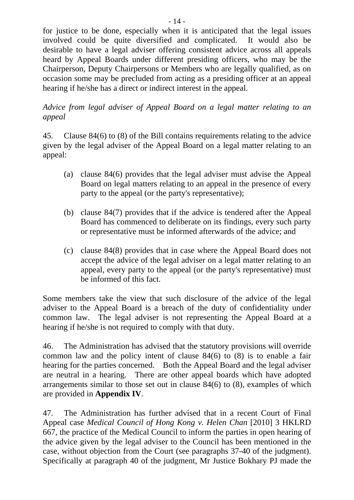for justice to be done, especially when it is anticipated that the legal issues involved could be quite diversified and complicated. It would also be desirable to have a legal adviser offering consistent advice across all appeals heard by Appeal Boards under different presiding officers, who may be the Chairperson, Deputy Chairpersons or Members who are legally qualified, as on occasion some may be precluded from acting as a presiding officer at an appeal hearing if he/she has a direct or indirect interest in the appeal.

### *Advice from legal adviser of Appeal Board on a legal matter relating to an appeal*

45. Clause 84(6) to (8) of the Bill contains requirements relating to the advice given by the legal adviser of the Appeal Board on a legal matter relating to an appeal:

- (a) clause 84(6) provides that the legal adviser must advise the Appeal Board on legal matters relating to an appeal in the presence of every party to the appeal (or the party's representative);
- (b) clause 84(7) provides that if the advice is tendered after the Appeal Board has commenced to deliberate on its findings, every such party or representative must be informed afterwards of the advice; and
- (c) clause 84(8) provides that in case where the Appeal Board does not accept the advice of the legal adviser on a legal matter relating to an appeal, every party to the appeal (or the party's representative) must be informed of this fact.

Some members take the view that such disclosure of the advice of the legal adviser to the Appeal Board is a breach of the duty of confidentiality under common law. The legal adviser is not representing the Appeal Board at a hearing if he/she is not required to comply with that duty.

46. The Administration has advised that the statutory provisions will override common law and the policy intent of clause 84(6) to (8) is to enable a fair hearing for the parties concerned. Both the Appeal Board and the legal adviser are neutral in a hearing. There are other appeal boards which have adopted arrangements similar to those set out in clause 84(6) to (8), examples of which are provided in **Appendix IV**.

47. The Administration has further advised that in a recent Court of Final Appeal case *Medical Council of Hong Kong v. Helen Chan* [2010] 3 HKLRD 667, the practice of the Medical Council to inform the parties in open hearing of the advice given by the legal adviser to the Council has been mentioned in the case, without objection from the Court (see paragraphs 37-40 of the judgment). Specifically at paragraph 40 of the judgment, Mr Justice Bokhary PJ made the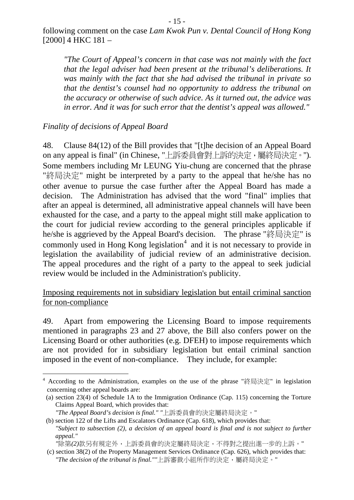following comment on the case *Lam Kwok Pun v. Dental Council of Hong Kong*  [2000] 4 HKC 181 –

*"The Court of Appeal's concern in that case was not mainly with the fact that the legal adviser had been present at the tribunal's deliberations. It was mainly with the fact that she had advised the tribunal in private so that the dentist's counsel had no opportunity to address the tribunal on the accuracy or otherwise of such advice. As it turned out, the advice was in error. And it was for such error that the dentist's appeal was allowed."*

*Finality of decisions of Appeal Board* 

-

48. Clause 84(12) of the Bill provides that "[t]he decision of an Appeal Board on any appeal is final" (in Chinese, "上訴委員會對上訴的決定,屬終局決定。"). Some members including Mr LEUNG Yiu-chung are concerned that the phrase "終局決定" might be interpreted by a party to the appeal that he/she has no other avenue to pursue the case further after the Appeal Board has made a decision. The Administration has advised that the word "final" implies that after an appeal is determined, all administrative appeal channels will have been exhausted for the case, and a party to the appeal might still make application to the court for judicial review according to the general principles applicable if he/she is aggrieved by the Appeal Board's decision. The phrase "終局決定" is commonly used in Hong Kong legislation<sup>[4](#page-14-0)</sup> and it is not necessary to provide in legislation the availability of judicial review of an administrative decision. The appeal procedures and the right of a party to the appeal to seek judicial review would be included in the Administration's publicity.

Imposing requirements not in subsidiary legislation but entail criminal sanction for non-compliance

49. Apart from empowering the Licensing Board to impose requirements mentioned in paragraphs 23 and 27 above, the Bill also confers power on the Licensing Board or other authorities (e.g. DFEH) to impose requirements which are not provided for in subsidiary legislation but entail criminal sanction imposed in the event of non-compliance. They include, for example:

<span id="page-14-0"></span><sup>&</sup>lt;sup>4</sup> According to the Administration, examples on the use of the phrase "終局決定" in legislation concerning other appeal boards are:

<sup>(</sup>a) section 23(4) of Schedule 1A to the Immigration Ordinance (Cap. 115) concerning the Torture Claims Appeal Board, which provides that:

*<sup>&</sup>quot;The Appeal Board's decision is final." "*上訴委員會的決定屬終局決定。"

<sup>(</sup>b) section 122 of the Lifts and Escalators Ordinance (Cap. 618), which provides that: *"Subject to subsection (2), a decision of an appeal board is final and is not subject to further appeal."* 

*<sup>&</sup>quot;*除第*(2)*款另有規定外,上訴委員會的決定屬終局決定,不得對之提出進一步的上訴。"

<sup>(</sup>c) section 38(2) of the Property Management Services Ordinance (Cap. 626), which provides that: "The decision of the tribunal is final.""上訴審裁小組所作的決定,屬終局決定。"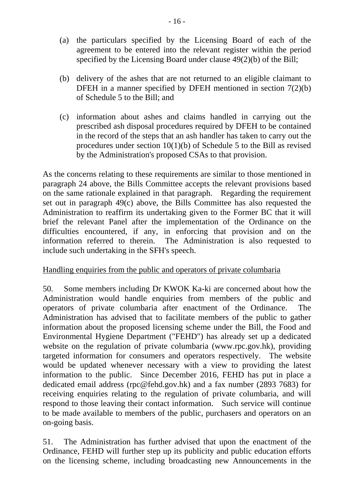- (a) the particulars specified by the Licensing Board of each of the agreement to be entered into the relevant register within the period specified by the Licensing Board under clause 49(2)(b) of the Bill;
- (b) delivery of the ashes that are not returned to an eligible claimant to DFEH in a manner specified by DFEH mentioned in section 7(2)(b) of Schedule 5 to the Bill; and
- (c) information about ashes and claims handled in carrying out the prescribed ash disposal procedures required by DFEH to be contained in the record of the steps that an ash handler has taken to carry out the procedures under section 10(1)(b) of Schedule 5 to the Bill as revised by the Administration's proposed CSAs to that provision.

As the concerns relating to these requirements are similar to those mentioned in paragraph 24 above, the Bills Committee accepts the relevant provisions based on the same rationale explained in that paragraph. Regarding the requirement set out in paragraph 49(c) above, the Bills Committee has also requested the Administration to reaffirm its undertaking given to the Former BC that it will brief the relevant Panel after the implementation of the Ordinance on the difficulties encountered, if any, in enforcing that provision and on the information referred to therein. The Administration is also requested to include such undertaking in the SFH's speech.

# Handling enquiries from the public and operators of private columbaria

50. Some members including Dr KWOK Ka-ki are concerned about how the Administration would handle enquiries from members of the public and operators of private columbaria after enactment of the Ordinance. The Administration has advised that to facilitate members of the public to gather information about the proposed licensing scheme under the Bill, the Food and Environmental Hygiene Department ("FEHD") has already set up a dedicated website on the regulation of private columbaria (www.rpc.gov.hk), providing targeted information for consumers and operators respectively. The website would be updated whenever necessary with a view to providing the latest information to the public. Since December 2016, FEHD has put in place a dedicated email address (rpc@fehd.gov.hk) and a fax number (2893 7683) for receiving enquiries relating to the regulation of private columbaria, and will respond to those leaving their contact information. Such service will continue to be made available to members of the public, purchasers and operators on an on-going basis.

51. The Administration has further advised that upon the enactment of the Ordinance, FEHD will further step up its publicity and public education efforts on the licensing scheme, including broadcasting new Announcements in the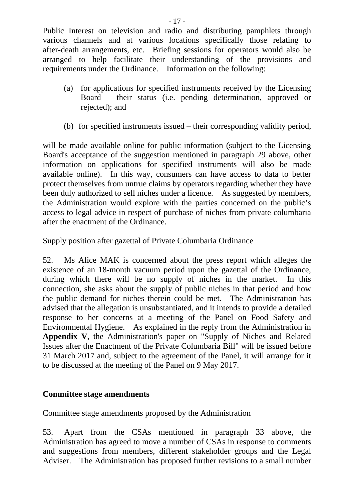Public Interest on television and radio and distributing pamphlets through various channels and at various locations specifically those relating to after-death arrangements, etc. Briefing sessions for operators would also be arranged to help facilitate their understanding of the provisions and requirements under the Ordinance. Information on the following:

- (a) for applications for specified instruments received by the Licensing Board – their status (i.e. pending determination, approved or rejected); and
- (b) for specified instruments issued their corresponding validity period,

will be made available online for public information (subject to the Licensing Board's acceptance of the suggestion mentioned in paragraph 29 above, other information on applications for specified instruments will also be made available online). In this way, consumers can have access to data to better protect themselves from untrue claims by operators regarding whether they have been duly authorized to sell niches under a licence. As suggested by members, the Administration would explore with the parties concerned on the public's access to legal advice in respect of purchase of niches from private columbaria after the enactment of the Ordinance.

# Supply position after gazettal of Private Columbaria Ordinance

52. Ms Alice MAK is concerned about the press report which alleges the existence of an 18-month vacuum period upon the gazettal of the Ordinance, during which there will be no supply of niches in the market. In this connection, she asks about the supply of public niches in that period and how the public demand for niches therein could be met. The Administration has advised that the allegation is unsubstantiated, and it intends to provide a detailed response to her concerns at a meeting of the Panel on Food Safety and Environmental Hygiene. As explained in the reply from the Administration in **Appendix V**, the Administration's paper on "Supply of Niches and Related Issues after the Enactment of the Private Columbaria Bill" will be issued before 31 March 2017 and, subject to the agreement of the Panel, it will arrange for it to be discussed at the meeting of the Panel on 9 May 2017.

# **Committee stage amendments**

# Committee stage amendments proposed by the Administration

53. Apart from the CSAs mentioned in paragraph 33 above, the Administration has agreed to move a number of CSAs in response to comments and suggestions from members, different stakeholder groups and the Legal Adviser. The Administration has proposed further revisions to a small number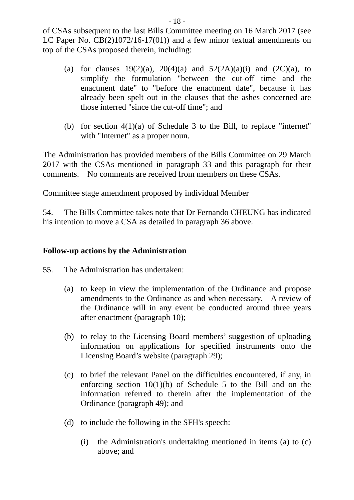of CSAs subsequent to the last Bills Committee meeting on 16 March 2017 (see LC Paper No. CB(2)1072/16-17(01)) and a few minor textual amendments on top of the CSAs proposed therein, including:

- (a) for clauses  $19(2)(a)$ ,  $20(4)(a)$  and  $52(2A)(a)(i)$  and  $(2C)(a)$ , to simplify the formulation "between the cut-off time and the enactment date" to "before the enactment date", because it has already been spelt out in the clauses that the ashes concerned are those interred "since the cut-off time"; and
- (b) for section 4(1)(a) of Schedule 3 to the Bill, to replace "internet" with "Internet" as a proper noun.

The Administration has provided members of the Bills Committee on 29 March 2017 with the CSAs mentioned in paragraph 33 and this paragraph for their comments. No comments are received from members on these CSAs.

#### Committee stage amendment proposed by individual Member

54. The Bills Committee takes note that Dr Fernando CHEUNG has indicated his intention to move a CSA as detailed in paragraph 36 above.

#### **Follow-up actions by the Administration**

55. The Administration has undertaken:

- (a) to keep in view the implementation of the Ordinance and propose amendments to the Ordinance as and when necessary. A review of the Ordinance will in any event be conducted around three years after enactment (paragraph 10);
- (b) to relay to the Licensing Board members' suggestion of uploading information on applications for specified instruments onto the Licensing Board's website (paragraph 29);
- (c) to brief the relevant Panel on the difficulties encountered, if any, in enforcing section 10(1)(b) of Schedule 5 to the Bill and on the information referred to therein after the implementation of the Ordinance (paragraph 49); and
- (d) to include the following in the SFH's speech:
	- (i) the Administration's undertaking mentioned in items (a) to (c) above; and